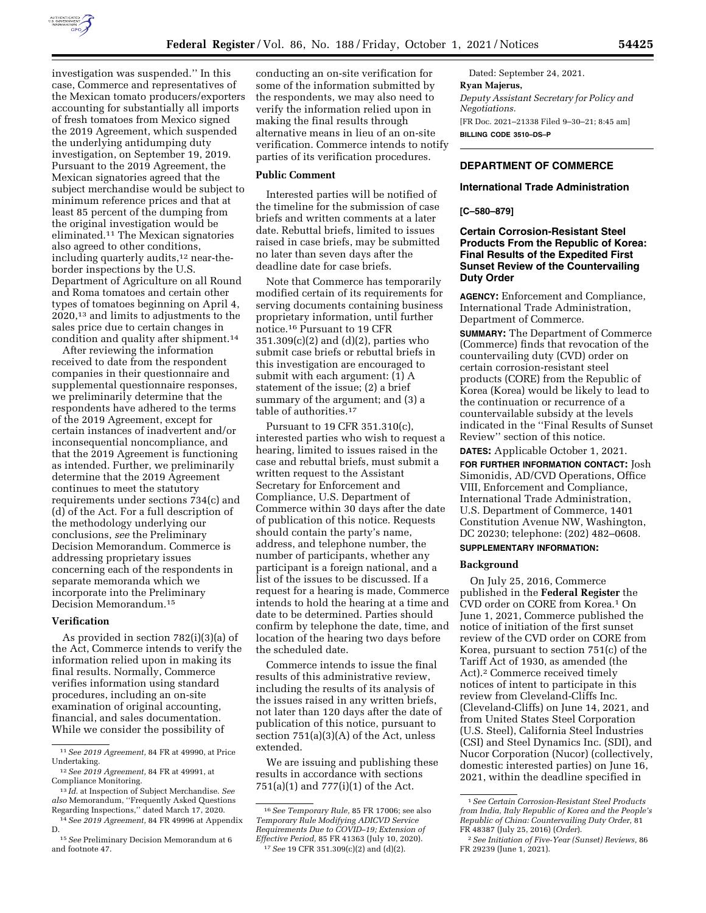

investigation was suspended.'' In this case, Commerce and representatives of the Mexican tomato producers/exporters accounting for substantially all imports of fresh tomatoes from Mexico signed the 2019 Agreement, which suspended the underlying antidumping duty investigation, on September 19, 2019. Pursuant to the 2019 Agreement, the Mexican signatories agreed that the subject merchandise would be subject to minimum reference prices and that at least 85 percent of the dumping from the original investigation would be eliminated.11 The Mexican signatories also agreed to other conditions, including quarterly audits,12 near-theborder inspections by the U.S. Department of Agriculture on all Round and Roma tomatoes and certain other types of tomatoes beginning on April 4, 2020,13 and limits to adjustments to the sales price due to certain changes in condition and quality after shipment.14

After reviewing the information received to date from the respondent companies in their questionnaire and supplemental questionnaire responses, we preliminarily determine that the respondents have adhered to the terms of the 2019 Agreement, except for certain instances of inadvertent and/or inconsequential noncompliance, and that the 2019 Agreement is functioning as intended. Further, we preliminarily determine that the 2019 Agreement continues to meet the statutory requirements under sections 734(c) and (d) of the Act. For a full description of the methodology underlying our conclusions, *see* the Preliminary Decision Memorandum. Commerce is addressing proprietary issues concerning each of the respondents in separate memoranda which we incorporate into the Preliminary Decision Memorandum.15

### **Verification**

As provided in section 782(i)(3)(a) of the Act, Commerce intends to verify the information relied upon in making its final results. Normally, Commerce verifies information using standard procedures, including an on-site examination of original accounting, financial, and sales documentation. While we consider the possibility of

conducting an on-site verification for some of the information submitted by the respondents, we may also need to verify the information relied upon in making the final results through alternative means in lieu of an on-site verification. Commerce intends to notify parties of its verification procedures.

#### **Public Comment**

Interested parties will be notified of the timeline for the submission of case briefs and written comments at a later date. Rebuttal briefs, limited to issues raised in case briefs, may be submitted no later than seven days after the deadline date for case briefs.

Note that Commerce has temporarily modified certain of its requirements for serving documents containing business proprietary information, until further notice.16 Pursuant to 19 CFR 351.309(c)(2) and (d)(2), parties who submit case briefs or rebuttal briefs in this investigation are encouraged to submit with each argument: (1) A statement of the issue; (2) a brief summary of the argument; and (3) a table of authorities.<sup>17</sup>

Pursuant to 19 CFR 351.310(c), interested parties who wish to request a hearing, limited to issues raised in the case and rebuttal briefs, must submit a written request to the Assistant Secretary for Enforcement and Compliance, U.S. Department of Commerce within 30 days after the date of publication of this notice. Requests should contain the party's name, address, and telephone number, the number of participants, whether any participant is a foreign national, and a list of the issues to be discussed. If a request for a hearing is made, Commerce intends to hold the hearing at a time and date to be determined. Parties should confirm by telephone the date, time, and location of the hearing two days before the scheduled date.

Commerce intends to issue the final results of this administrative review, including the results of its analysis of the issues raised in any written briefs, not later than 120 days after the date of publication of this notice, pursuant to section 751(a)(3)(A) of the Act, unless extended.

We are issuing and publishing these results in accordance with sections 751(a)(1) and 777(i)(1) of the Act.

Dated: September 24, 2021. **Ryan Majerus,**  *Deputy Assistant Secretary for Policy and Negotiations.*  [FR Doc. 2021–21338 Filed 9–30–21; 8:45 am] **BILLING CODE 3510–DS–P** 

# **DEPARTMENT OF COMMERCE**

## **International Trade Administration**

**[C–580–879]** 

## **Certain Corrosion-Resistant Steel Products From the Republic of Korea: Final Results of the Expedited First Sunset Review of the Countervailing Duty Order**

**AGENCY:** Enforcement and Compliance, International Trade Administration, Department of Commerce.

**SUMMARY:** The Department of Commerce (Commerce) finds that revocation of the countervailing duty (CVD) order on certain corrosion-resistant steel products (CORE) from the Republic of Korea (Korea) would be likely to lead to the continuation or recurrence of a countervailable subsidy at the levels indicated in the ''Final Results of Sunset Review'' section of this notice.

**DATES:** Applicable October 1, 2021.

**FOR FURTHER INFORMATION CONTACT:** Josh Simonidis, AD/CVD Operations, Office VIII, Enforcement and Compliance, International Trade Administration, U.S. Department of Commerce, 1401 Constitution Avenue NW, Washington, DC 20230; telephone: (202) 482–0608. **SUPPLEMENTARY INFORMATION:** 

# **Background**

On July 25, 2016, Commerce published in the **Federal Register** the CVD order on CORE from Korea.1 On June 1, 2021, Commerce published the notice of initiation of the first sunset review of the CVD order on CORE from Korea, pursuant to section 751(c) of the Tariff Act of 1930, as amended (the Act).2 Commerce received timely notices of intent to participate in this review from Cleveland-Cliffs Inc. (Cleveland-Cliffs) on June 14, 2021, and from United States Steel Corporation (U.S. Steel), California Steel Industries (CSI) and Steel Dynamics Inc. (SDI), and Nucor Corporation (Nucor) (collectively, domestic interested parties) on June 16, 2021, within the deadline specified in

<sup>11</sup>*See 2019 Agreement,* 84 FR at 49990, at Price Undertaking.

<sup>12</sup>*See 2019 Agreement,* 84 FR at 49991, at Compliance Monitoring.

<sup>13</sup> *Id.* at Inspection of Subject Merchandise. *See also* Memorandum, ''Frequently Asked Questions Regarding Inspections,'' dated March 17, 2020.

<sup>14</sup>*See 2019 Agreement,* 84 FR 49996 at Appendix D.

<sup>15</sup>*See* Preliminary Decision Memorandum at 6 and footnote 47.

<sup>16</sup>*See Temporary Rule,* 85 FR 17006; see also *Temporary Rule Modifying ADICVD Service Requirements Due to COVID–19; Extension of Effective Period,* 85 FR 41363 (July 10, 2020). 17*See* 19 CFR 351.309(c)(2) and (d)(2).

<sup>1</sup>*See Certain Corrosion-Resistant Steel Products from India, Italy Republic of Korea and the People's Republic of China: Countervailing Duty Order,* 81 FR 48387 (July 25, 2016) (*Order*).

<sup>2</sup>*See Initiation of Five-Year (Sunset) Reviews,* 86 FR 29239 (June 1, 2021).